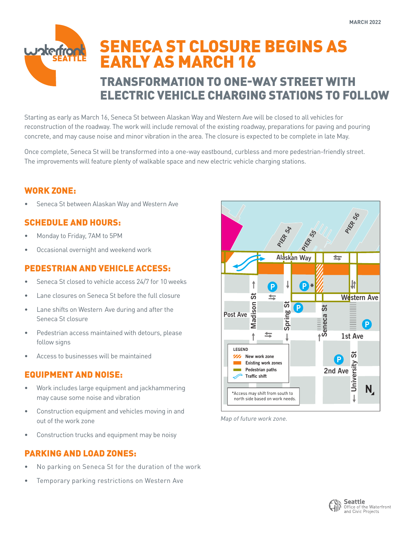# SENECA ST CLOSURE BEGINS AS **Joter** EARLY AS MARCH 16 TRANSFORMATION TO ONE-WAY STREET WITH ELECTRIC VEHICLE CHARGING STATIONS TO FOLLOW

Starting as early as March 16, Seneca St between Alaskan Way and Western Ave will be closed to all vehicles for reconstruction of the roadway. The work will include removal of the existing roadway, preparations for paving and pouring concrete, and may cause noise and minor vibration in the area. The closure is expected to be complete in late May.

Once complete, Seneca St will be transformed into a one-way eastbound, curbless and more pedestrian-friendly street. The improvements will feature plenty of walkable space and new electric vehicle charging stations.

## WORK ZONE:

• Seneca St between Alaskan Way and Western Ave

# SCHEDULE AND HOURS:

- Monday to Friday, 7AM to 5PM
- Occasional overnight and weekend work

## PEDESTRIAN AND VEHICLE ACCESS:

- Seneca St closed to vehicle access 24/7 for 10 weeks
- Lane closures on Seneca St before the full closure
- Lane shifts on Western Ave during and after the Seneca St closure
- Pedestrian access maintained with detours, please follow signs
- Access to businesses will be maintained

### EQUIPMENT AND NOISE:

- Work includes large equipment and jackhammering may cause some noise and vibration
- Construction equipment and vehicles moving in and out of the work zone
- Construction trucks and equipment may be noisy

## PARKING AND LOAD ZONES:

- No parking on Seneca St for the duration of the work
- Temporary parking restrictions on Western Ave



Map of future work zone.